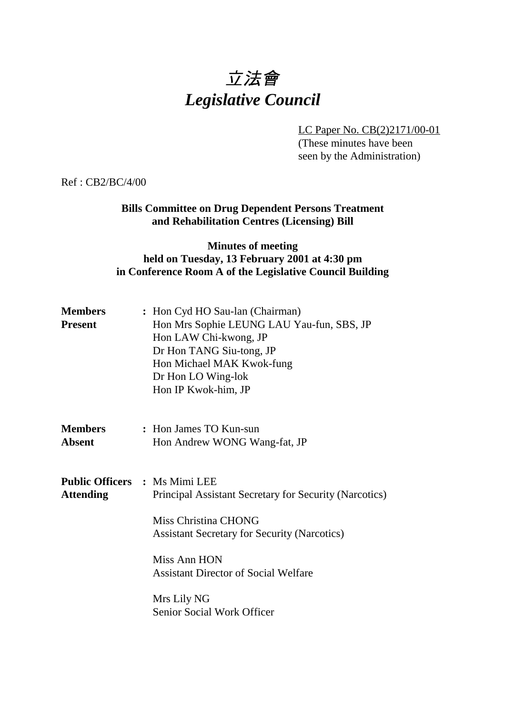# 立法會 *Legislative Council*

LC Paper No. CB(2)2171/00-01

(These minutes have been seen by the Administration)

Ref : CB2/BC/4/00

### **Bills Committee on Drug Dependent Persons Treatment and Rehabilitation Centres (Licensing) Bill**

#### **Minutes of meeting held on Tuesday, 13 February 2001 at 4:30 pm in Conference Room A of the Legislative Council Building**

| <b>Members</b><br><b>Present</b> | : Hon Cyd HO Sau-lan (Chairman)<br>Hon Mrs Sophie LEUNG LAU Yau-fun, SBS, JP<br>Hon LAW Chi-kwong, JP<br>Dr Hon TANG Siu-tong, JP<br>Hon Michael MAK Kwok-fung<br>Dr Hon LO Wing-lok<br>Hon IP Kwok-him, JP                                                                               |
|----------------------------------|-------------------------------------------------------------------------------------------------------------------------------------------------------------------------------------------------------------------------------------------------------------------------------------------|
| <b>Members</b><br><b>Absent</b>  | : Hon James TO Kun-sun<br>Hon Andrew WONG Wang-fat, JP                                                                                                                                                                                                                                    |
| <b>Attending</b>                 | <b>Public Officers : Ms Mimi LEE</b><br>Principal Assistant Secretary for Security (Narcotics)<br>Miss Christina CHONG<br><b>Assistant Secretary for Security (Narcotics)</b><br>Miss Ann HON<br><b>Assistant Director of Social Welfare</b><br>Mrs Lily NG<br>Senior Social Work Officer |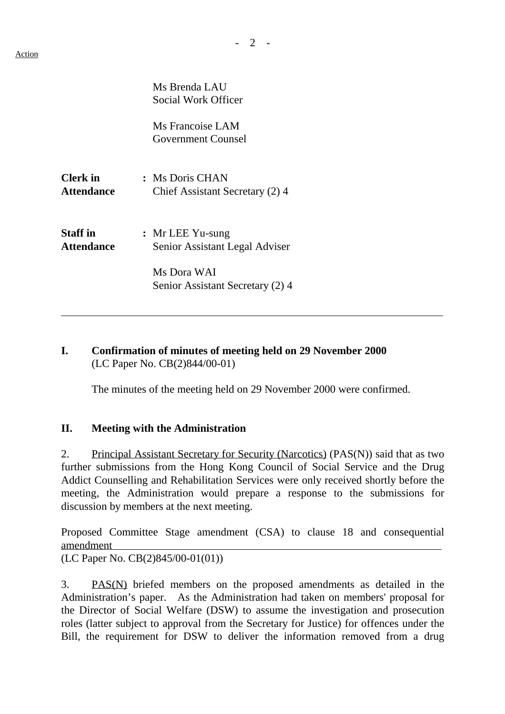|                                      | Ms Brenda LAU<br>Social Work Officer               |
|--------------------------------------|----------------------------------------------------|
|                                      | Ms Francoise LAM<br><b>Government Counsel</b>      |
| <b>Clerk</b> in<br><b>Attendance</b> | : Ms Doris CHAN<br>Chief Assistant Secretary (2) 4 |
| <b>Staff in</b><br><b>Attendance</b> | : Mr LEE Yu-sung<br>Senior Assistant Legal Adviser |
|                                      | Ms Dora WAI<br>Senior Assistant Secretary (2) 4    |

#### **I. Confirmation of minutes of meeting held on 29 November 2000** (LC Paper No. CB(2)844/00-01)

The minutes of the meeting held on 29 November 2000 were confirmed.

#### **II. Meeting with the Administration**

2. Principal Assistant Secretary for Security (Narcotics) (PAS(N)) said that as two further submissions from the Hong Kong Council of Social Service and the Drug Addict Counselling and Rehabilitation Services were only received shortly before the meeting, the Administration would prepare a response to the submissions for discussion by members at the next meeting.

Proposed Committee Stage amendment (CSA) to clause 18 and consequential amendment

(LC Paper No. CB(2)845/00-01(01))

3. PAS(N) briefed members on the proposed amendments as detailed in the Administration's paper. As the Administration had taken on members' proposal for the Director of Social Welfare (DSW) to assume the investigation and prosecution roles (latter subject to approval from the Secretary for Justice) for offences under the Bill, the requirement for DSW to deliver the information removed from a drug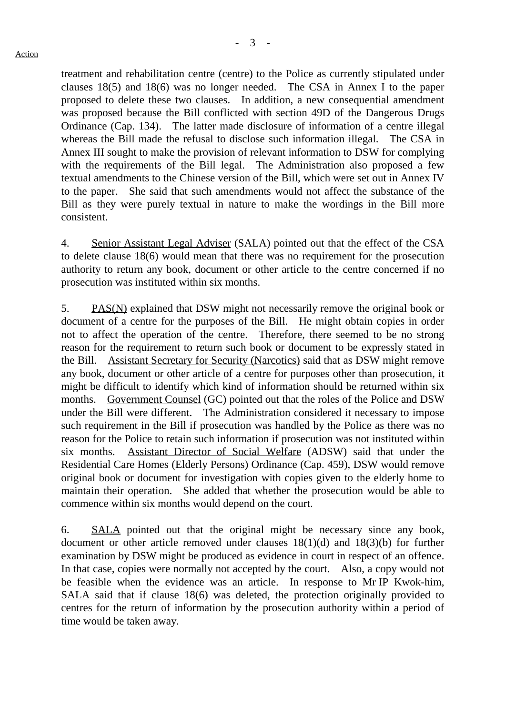treatment and rehabilitation centre (centre) to the Police as currently stipulated under clauses 18(5) and 18(6) was no longer needed. The CSA in Annex I to the paper proposed to delete these two clauses. In addition, a new consequential amendment was proposed because the Bill conflicted with section 49D of the Dangerous Drugs Ordinance (Cap. 134). The latter made disclosure of information of a centre illegal whereas the Bill made the refusal to disclose such information illegal. The CSA in Annex III sought to make the provision of relevant information to DSW for complying with the requirements of the Bill legal. The Administration also proposed a few textual amendments to the Chinese version of the Bill, which were set out in Annex IV to the paper. She said that such amendments would not affect the substance of the Bill as they were purely textual in nature to make the wordings in the Bill more consistent.

4. Senior Assistant Legal Adviser (SALA) pointed out that the effect of the CSA to delete clause 18(6) would mean that there was no requirement for the prosecution authority to return any book, document or other article to the centre concerned if no prosecution was instituted within six months.

5. PAS(N) explained that DSW might not necessarily remove the original book or document of a centre for the purposes of the Bill. He might obtain copies in order not to affect the operation of the centre. Therefore, there seemed to be no strong reason for the requirement to return such book or document to be expressly stated in the Bill. Assistant Secretary for Security (Narcotics) said that as DSW might remove any book, document or other article of a centre for purposes other than prosecution, it might be difficult to identify which kind of information should be returned within six months. Government Counsel (GC) pointed out that the roles of the Police and DSW under the Bill were different. The Administration considered it necessary to impose such requirement in the Bill if prosecution was handled by the Police as there was no reason for the Police to retain such information if prosecution was not instituted within six months. Assistant Director of Social Welfare (ADSW) said that under the Residential Care Homes (Elderly Persons) Ordinance (Cap. 459), DSW would remove original book or document for investigation with copies given to the elderly home to maintain their operation. She added that whether the prosecution would be able to commence within six months would depend on the court.

6. SALA pointed out that the original might be necessary since any book, document or other article removed under clauses 18(1)(d) and 18(3)(b) for further examination by DSW might be produced as evidence in court in respect of an offence. In that case, copies were normally not accepted by the court. Also, a copy would not be feasible when the evidence was an article. In response to Mr IP Kwok-him, SALA said that if clause 18(6) was deleted, the protection originally provided to centres for the return of information by the prosecution authority within a period of time would be taken away.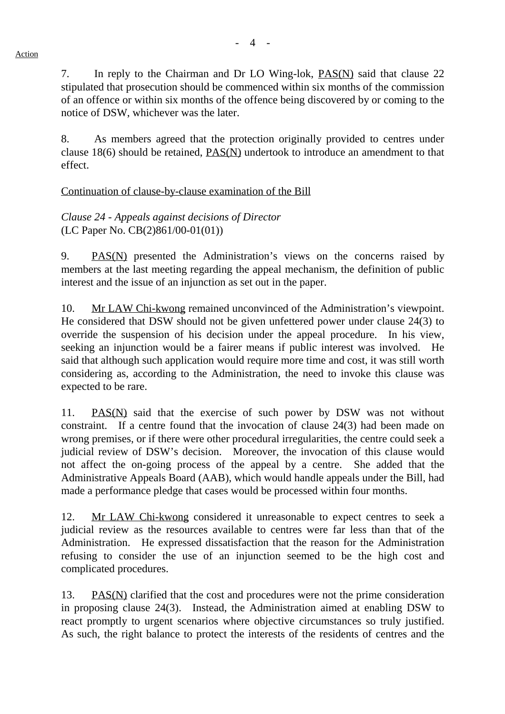7. In reply to the Chairman and Dr LO Wing-lok, PAS(N) said that clause 22 stipulated that prosecution should be commenced within six months of the commission of an offence or within six months of the offence being discovered by or coming to the notice of DSW, whichever was the later.

8. As members agreed that the protection originally provided to centres under clause 18(6) should be retained, PAS(N) undertook to introduce an amendment to that effect.

#### Continuation of clause-by-clause examination of the Bill

*Clause 24 - Appeals against decisions of Director* (LC Paper No. CB(2)861/00-01(01))

9. PAS(N) presented the Administration's views on the concerns raised by members at the last meeting regarding the appeal mechanism, the definition of public interest and the issue of an injunction as set out in the paper.

10. Mr LAW Chi-kwong remained unconvinced of the Administration's viewpoint. He considered that DSW should not be given unfettered power under clause 24(3) to override the suspension of his decision under the appeal procedure. In his view, seeking an injunction would be a fairer means if public interest was involved. He said that although such application would require more time and cost, it was still worth considering as, according to the Administration, the need to invoke this clause was expected to be rare.

11. PAS(N) said that the exercise of such power by DSW was not without constraint. If a centre found that the invocation of clause 24(3) had been made on wrong premises, or if there were other procedural irregularities, the centre could seek a judicial review of DSW's decision. Moreover, the invocation of this clause would not affect the on-going process of the appeal by a centre. She added that the Administrative Appeals Board (AAB), which would handle appeals under the Bill, had made a performance pledge that cases would be processed within four months.

12. Mr LAW Chi-kwong considered it unreasonable to expect centres to seek a judicial review as the resources available to centres were far less than that of the Administration. He expressed dissatisfaction that the reason for the Administration refusing to consider the use of an injunction seemed to be the high cost and complicated procedures.

13. PAS(N) clarified that the cost and procedures were not the prime consideration in proposing clause 24(3). Instead, the Administration aimed at enabling DSW to react promptly to urgent scenarios where objective circumstances so truly justified. As such, the right balance to protect the interests of the residents of centres and the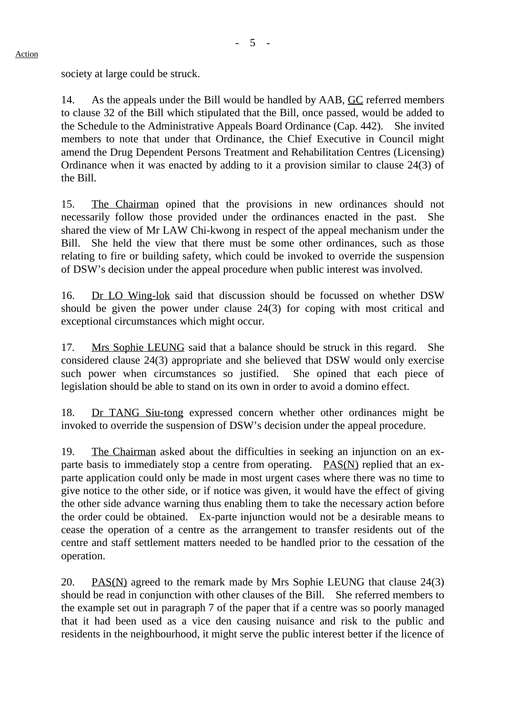society at large could be struck.

14. As the appeals under the Bill would be handled by AAB, GC referred members to clause 32 of the Bill which stipulated that the Bill, once passed, would be added to the Schedule to the Administrative Appeals Board Ordinance (Cap. 442). She invited members to note that under that Ordinance, the Chief Executive in Council might amend the Drug Dependent Persons Treatment and Rehabilitation Centres (Licensing) Ordinance when it was enacted by adding to it a provision similar to clause 24(3) of the Bill.

15. The Chairman opined that the provisions in new ordinances should not necessarily follow those provided under the ordinances enacted in the past. She shared the view of Mr LAW Chi-kwong in respect of the appeal mechanism under the Bill. She held the view that there must be some other ordinances, such as those relating to fire or building safety, which could be invoked to override the suspension of DSW's decision under the appeal procedure when public interest was involved.

16. Dr LO Wing-lok said that discussion should be focussed on whether DSW should be given the power under clause 24(3) for coping with most critical and exceptional circumstances which might occur.

17. Mrs Sophie LEUNG said that a balance should be struck in this regard. She considered clause 24(3) appropriate and she believed that DSW would only exercise such power when circumstances so justified. She opined that each piece of legislation should be able to stand on its own in order to avoid a domino effect.

18. Dr TANG Siu-tong expressed concern whether other ordinances might be invoked to override the suspension of DSW's decision under the appeal procedure.

19. The Chairman asked about the difficulties in seeking an injunction on an exparte basis to immediately stop a centre from operating. PAS(N) replied that an exparte application could only be made in most urgent cases where there was no time to give notice to the other side, or if notice was given, it would have the effect of giving the other side advance warning thus enabling them to take the necessary action before the order could be obtained. Ex-parte injunction would not be a desirable means to cease the operation of a centre as the arrangement to transfer residents out of the centre and staff settlement matters needed to be handled prior to the cessation of the operation.

20. PAS(N) agreed to the remark made by Mrs Sophie LEUNG that clause 24(3) should be read in conjunction with other clauses of the Bill. She referred members to the example set out in paragraph 7 of the paper that if a centre was so poorly managed that it had been used as a vice den causing nuisance and risk to the public and residents in the neighbourhood, it might serve the public interest better if the licence of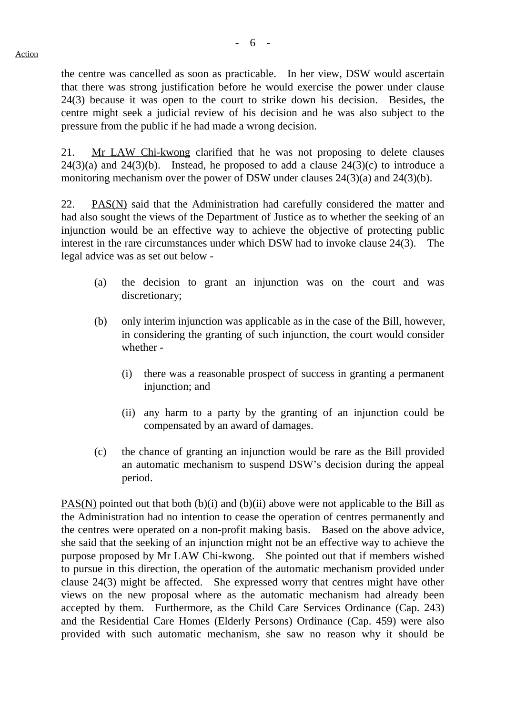the centre was cancelled as soon as practicable. In her view, DSW would ascertain that there was strong justification before he would exercise the power under clause 24(3) because it was open to the court to strike down his decision. Besides, the centre might seek a judicial review of his decision and he was also subject to the pressure from the public if he had made a wrong decision.

21. Mr LAW Chi-kwong clarified that he was not proposing to delete clauses  $24(3)(a)$  and  $24(3)(b)$ . Instead, he proposed to add a clause  $24(3)(c)$  to introduce a monitoring mechanism over the power of DSW under clauses 24(3)(a) and 24(3)(b).

22. PAS(N) said that the Administration had carefully considered the matter and had also sought the views of the Department of Justice as to whether the seeking of an injunction would be an effective way to achieve the objective of protecting public interest in the rare circumstances under which DSW had to invoke clause 24(3). The legal advice was as set out below -

- (a) the decision to grant an injunction was on the court and was discretionary;
- (b) only interim injunction was applicable as in the case of the Bill, however, in considering the granting of such injunction, the court would consider whether -
	- (i) there was a reasonable prospect of success in granting a permanent injunction; and
	- (ii) any harm to a party by the granting of an injunction could be compensated by an award of damages.
- (c) the chance of granting an injunction would be rare as the Bill provided an automatic mechanism to suspend DSW's decision during the appeal period.

PAS(N) pointed out that both (b)(i) and (b)(ii) above were not applicable to the Bill as the Administration had no intention to cease the operation of centres permanently and the centres were operated on a non-profit making basis. Based on the above advice, she said that the seeking of an injunction might not be an effective way to achieve the purpose proposed by Mr LAW Chi-kwong. She pointed out that if members wished to pursue in this direction, the operation of the automatic mechanism provided under clause 24(3) might be affected. She expressed worry that centres might have other views on the new proposal where as the automatic mechanism had already been accepted by them. Furthermore, as the Child Care Services Ordinance (Cap. 243) and the Residential Care Homes (Elderly Persons) Ordinance (Cap. 459) were also provided with such automatic mechanism, she saw no reason why it should be